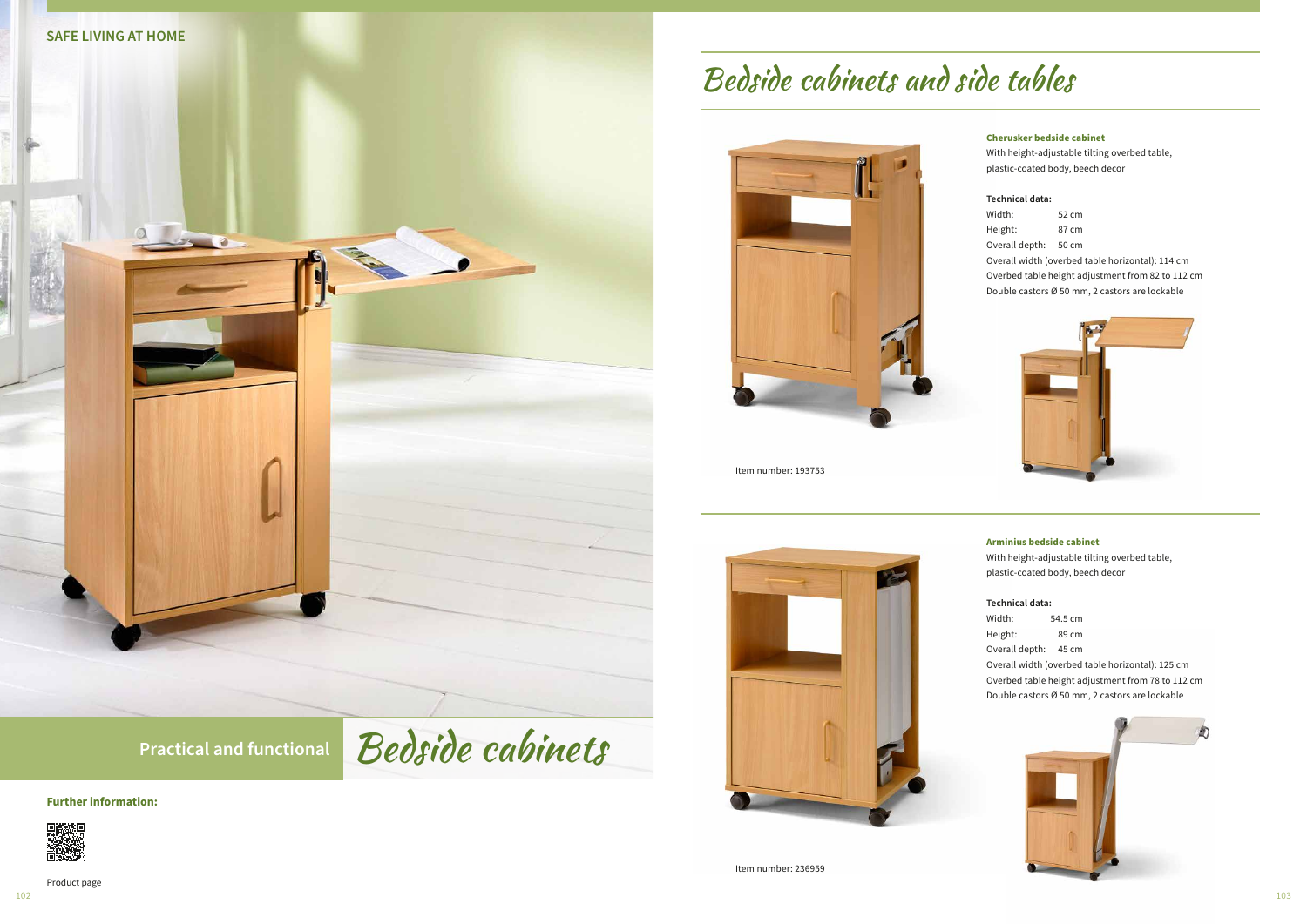**Street 10** 

#### **Further information:**





Product page

 $\overline{102}$ 

## **Cherusker bedside cabinet**

With height-adjustable tilting overbed table, plastic-coated body, beech decor

## **Technical data:**

| Width:         | 52 cm |
|----------------|-------|
| Height:        | 87 cm |
| Overall depth: | 50 cm |

Overall width (overbed table horizontal): 114 cm

Overbed table height adjustment from 82 to 112 cm

Double castors Ø 50 mm, 2 castors are lockable



#### **Arminius bedside cabinet**

With height-adjustable tilting overbed table, plastic-coated body, beech decor

#### **Technical data:**

| Width:  | 54.5 cm |
|---------|---------|
| Height: | 89 cm   |

Overall depth: 45 cm

Overall width (overbed table horizontal): 125 cm

Overbed table height adjustment from 78 to 112 cm Double castors Ø 50 mm, 2 castors are lockable



# Bedside cabinets and side tables



Item number: 193753